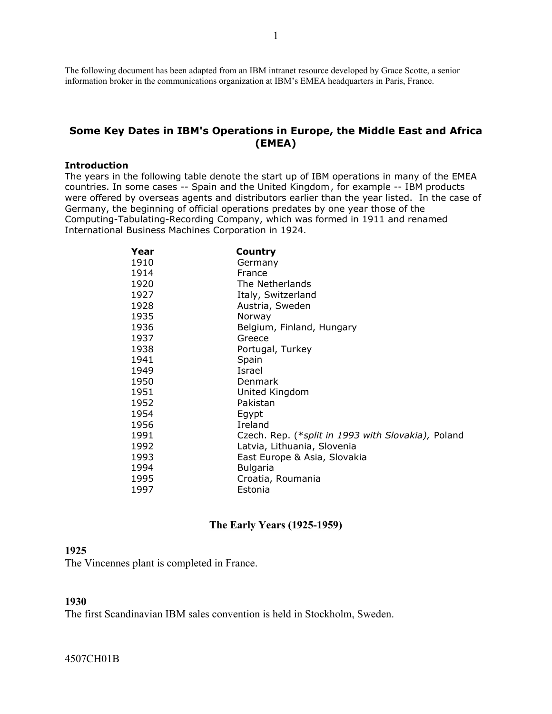The following document has been adapted from an IBM intranet resource developed by Grace Scotte, a senior information broker in the communications organization at IBM's EMEA headquarters in Paris, France.

### **Some Key Dates in IBM's Operations in Europe, the Middle East and Africa (EMEA)**

#### **Introduction**

The years in the following table denote the start up of IBM operations in many of the EMEA countries. In some cases -- Spain and the United Kingdom , for example -- IBM products were offered by overseas agents and distributors earlier than the year listed. In the case of Germany, the beginning of official operations predates by one year those of the Computing-Tabulating-Recording Company, which was formed in 1911 and renamed International Business Machines Corporation in 1924.

| Year | Country                                            |
|------|----------------------------------------------------|
| 1910 | Germany                                            |
| 1914 | France                                             |
| 1920 | The Netherlands                                    |
| 1927 | Italy, Switzerland                                 |
| 1928 | Austria, Sweden                                    |
| 1935 | Norway                                             |
| 1936 | Belgium, Finland, Hungary                          |
| 1937 | Greece                                             |
| 1938 | Portugal, Turkey                                   |
| 1941 | Spain                                              |
| 1949 | Israel                                             |
| 1950 | Denmark                                            |
| 1951 | United Kingdom                                     |
| 1952 | Pakistan                                           |
| 1954 | Egypt                                              |
| 1956 | Ireland                                            |
| 1991 | Czech. Rep. (*split in 1993 with Slovakia), Poland |
| 1992 | Latvia, Lithuania, Slovenia                        |
| 1993 | East Europe & Asia, Slovakia                       |
| 1994 | <b>Bulgaria</b>                                    |
| 1995 | Croatia, Roumania                                  |
| 1997 | Estonia                                            |

#### **The Early Years (1925-1959)**

#### 

The Vincennes plant is completed in France.

### 

The first Scandinavian IBM sales convention is held in Stockholm, Sweden.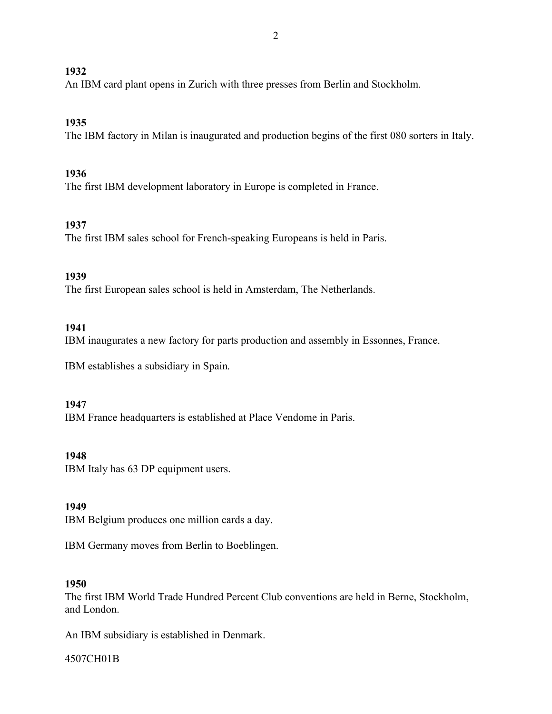An IBM card plant opens in Zurich with three presses from Berlin and Stockholm.

# **1935**

The IBM factory in Milan is inaugurated and production begins of the first 080 sorters in Italy.

## **1936**

The first IBM development laboratory in Europe is completed in France.

## **1937**

The first IBM sales school for French-speaking Europeans is held in Paris.

## **1939**

The first European sales school is held in Amsterdam, The Netherlands.

# **1941**

IBM inaugurates a new factory for parts production and assembly in Essonnes, France.

IBM establishes a subsidiary in Spain.

## **1947**

IBM France headquarters is established at Place Vendome in Paris.

### **1948**

IBM Italy has 63 DP equipment users.

## **1949**

IBM Belgium produces one million cards a day.

IBM Germany moves from Berlin to Boeblingen.

### **1950**

The first IBM World Trade Hundred Percent Club conventions are held in Berne, Stockholm, and London.

An IBM subsidiary is established in Denmark.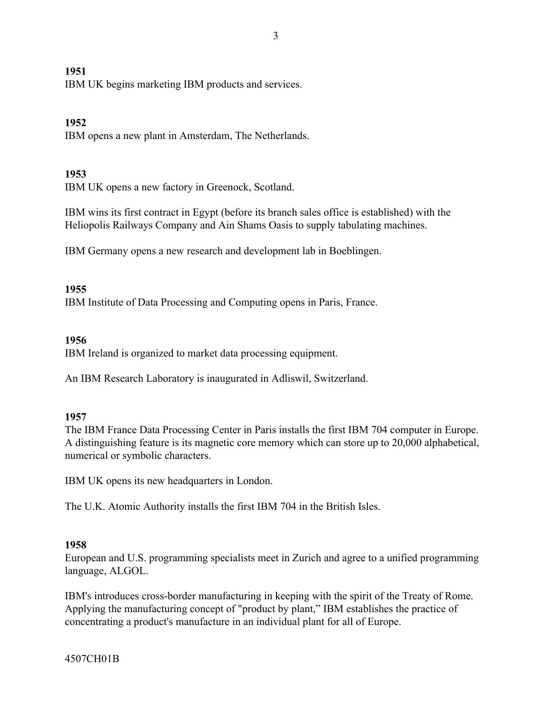IBM UK begins marketing IBM products and services.

### **1952**

IBM opens a new plant in Amsterdam, The Netherlands.

### **1953**

IBM UK opens a new factory in Greenock, Scotland.

IBM wins its first contract in Egypt (before its branch sales office is established) with the Heliopolis Railways Company and Ain Shams Oasis to supply tabulating machines.

IBM Germany opens a new research and development lab in Boeblingen.

### **1955**

IBM Institute of Data Processing and Computing opens in Paris, France.

### **1956**

IBM Ireland is organized to market data processing equipment.

An IBM Research Laboratory is inaugurated in Adliswil, Switzerland.

### **1957**

The IBM France Data Processing Center in Paris installs the first IBM 704 computer in Europe. A distinguishing feature is its magnetic core memory which can store up to 20,000 alphabetical, numerical or symbolic characters.

IBM UK opens its new headquarters in London.

The U.K. Atomic Authority installs the first IBM 704 in the British Isles.

### **1958**

European and U.S. programming specialists meet in Zurich and agree to a unified programming language, ALGOL.

IBM's introduces cross-border manufacturing in keeping with the spirit of the Treaty of Rome. Applying the manufacturing concept of "product by plant," IBM establishes the practice of concentrating a product's manufacture in an individual plant for all of Europe.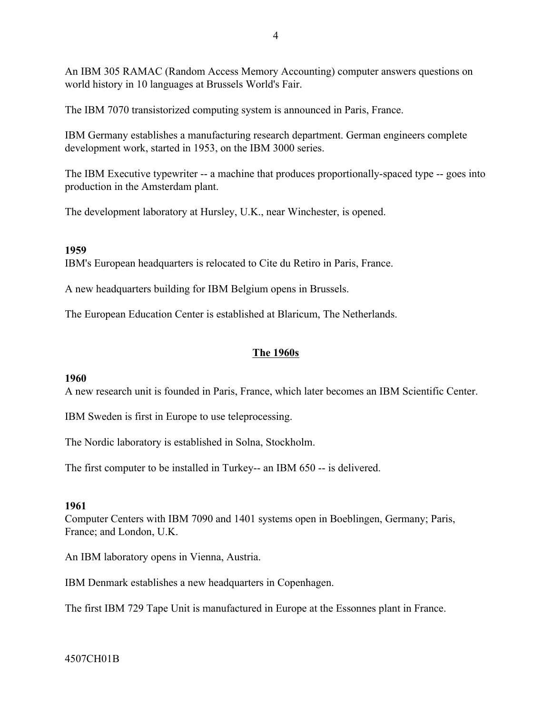An IBM 305 RAMAC (Random Access Memory Accounting) computer answers questions on world history in 10 languages at Brussels World's Fair.

The IBM 7070 transistorized computing system is announced in Paris, France.

IBM Germany establishes a manufacturing research department. German engineers complete development work, started in 1953, on the IBM 3000 series.

The IBM Executive typewriter -- a machine that produces proportionally-spaced type -- goes into production in the Amsterdam plant.

The development laboratory at Hursley, U.K., near Winchester, is opened.

### **1959**

IBM's European headquarters is relocated to Cite du Retiro in Paris, France.

A new headquarters building for IBM Belgium opens in Brussels.

The European Education Center is established at Blaricum, The Netherlands.

## **The 1960s**

### **1960**

A new research unit is founded in Paris, France, which later becomes an IBM Scientific Center.

IBM Sweden is first in Europe to use teleprocessing.

The Nordic laboratory is established in Solna, Stockholm.

The first computer to be installed in Turkey-- an IBM 650 -- is delivered.

### **1961**

Computer Centers with IBM 7090 and 1401 systems open in Boeblingen, Germany; Paris, France; and London, U.K.

An IBM laboratory opens in Vienna, Austria.

IBM Denmark establishes a new headquarters in Copenhagen.

The first IBM 729 Tape Unit is manufactured in Europe at the Essonnes plant in France.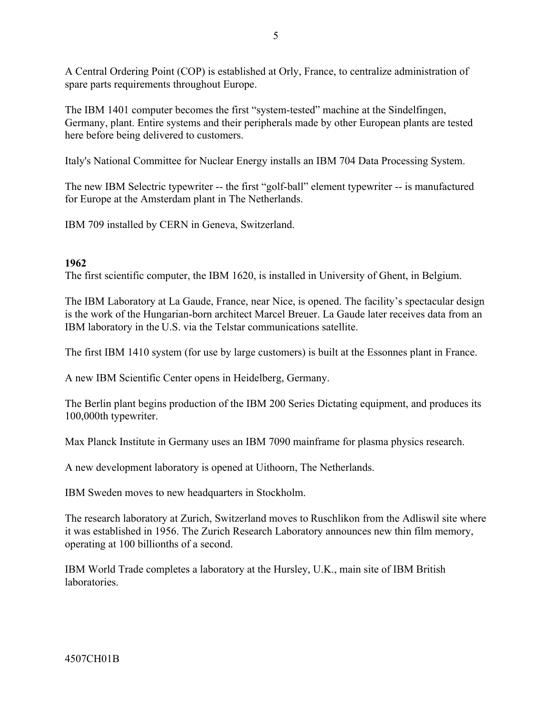A Central Ordering Point (COP) is established at Orly, France, to centralize administration of spare parts requirements throughout Europe.

The IBM 1401 computer becomes the first "system-tested" machine at the Sindelfingen, Germany, plant. Entire systems and their peripherals made by other European plants are tested here before being delivered to customers.

Italy's National Committee for Nuclear Energy installs an IBM 704 Data Processing System.

The new IBM Selectric typewriter -- the first "golf-ball" element typewriter -- is manufactured for Europe at the Amsterdam plant in The Netherlands.

IBM 709 installed by CERN in Geneva, Switzerland.

## **1962**

The first scientific computer, the IBM 1620, is installed in University of Ghent, in Belgium.

The IBM Laboratory at La Gaude, France, near Nice, is opened. The facility's spectacular design is the work of the Hungarian-born architect Marcel Breuer. La Gaude later receives data from an IBM laboratory in the U.S. via the Telstar communications satellite.

The first IBM 1410 system (for use by large customers) is built at the Essonnes plant in France.

A new IBM Scientific Center opens in Heidelberg, Germany.

The Berlin plant begins production of the IBM 200 Series Dictating equipment, and produces its 100,000th typewriter.

Max Planck Institute in Germany uses an IBM 7090 mainframe for plasma physics research.

A new development laboratory is opened at Uithoorn, The Netherlands.

IBM Sweden moves to new headquarters in Stockholm.

The research laboratory at Zurich, Switzerland moves to Ruschlikon from the Adliswil site where it was established in 1956. The Zurich Research Laboratory announces new thin film memory, operating at 100 billionths of a second.

IBM World Trade completes a laboratory at the Hursley, U.K., main site of IBM British **laboratories**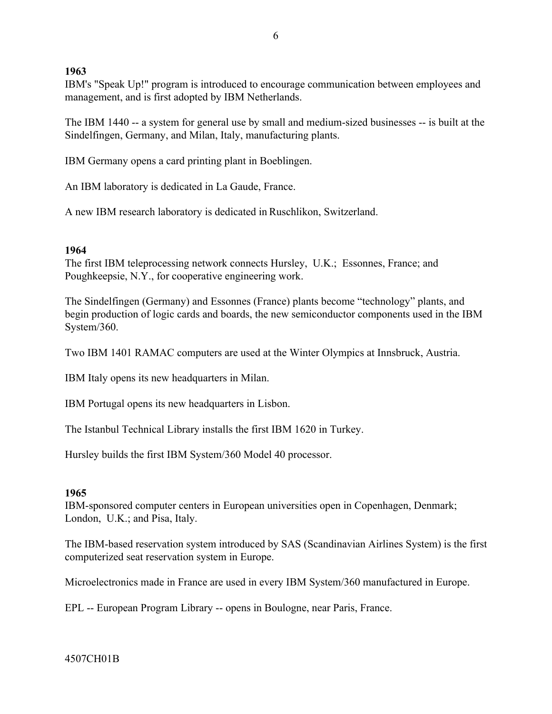IBM's "Speak Up!" program is introduced to encourage communication between employees and management, and is first adopted by IBM Netherlands.

The IBM 1440 -- a system for general use by small and medium-sized businesses -- is built at the Sindelfingen, Germany, and Milan, Italy, manufacturing plants.

IBM Germany opens a card printing plant in Boeblingen.

An IBM laboratory is dedicated in La Gaude, France.

A new IBM research laboratory is dedicated in Ruschlikon, Switzerland.

## **1964**

The first IBM teleprocessing network connects Hursley, U.K.; Essonnes, France; and Poughkeepsie, N.Y., for cooperative engineering work.

The Sindelfingen (Germany) and Essonnes (France) plants become "technology" plants, and begin production of logic cards and boards, the new semiconductor components used in the IBM System/360.

Two IBM 1401 RAMAC computers are used at the Winter Olympics at Innsbruck, Austria.

IBM Italy opens its new headquarters in Milan.

IBM Portugal opens its new headquarters in Lisbon.

The Istanbul Technical Library installs the first IBM 1620 in Turkey.

Hursley builds the first IBM System/360 Model 40 processor.

## **1965**

IBM-sponsored computer centers in European universities open in Copenhagen, Denmark; London, U.K.; and Pisa, Italy.

The IBM-based reservation system introduced by SAS (Scandinavian Airlines System) is the first computerized seat reservation system in Europe.

Microelectronics made in France are used in every IBM System/360 manufactured in Europe.

EPL -- European Program Library -- opens in Boulogne, near Paris, France.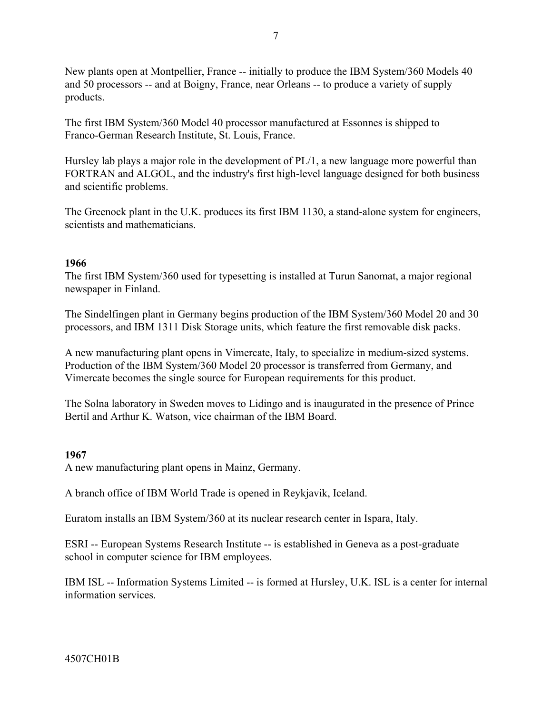New plants open at Montpellier, France -- initially to produce the IBM System/360 Models 40 and 50 processors -- and at Boigny, France, near Orleans -- to produce a variety of supply products.

The first IBM System/360 Model 40 processor manufactured at Essonnes is shipped to Franco-German Research Institute, St. Louis, France.

Hursley lab plays a major role in the development of PL/1, a new language more powerful than FORTRAN and ALGOL, and the industry's first high-level language designed for both business and scientific problems.

The Greenock plant in the U.K. produces its first IBM 1130, a stand-alone system for engineers, scientists and mathematicians.

### **1966**

The first IBM System/360 used for typesetting is installed at Turun Sanomat, a major regional newspaper in Finland.

The Sindelfingen plant in Germany begins production of the IBM System/360 Model 20 and 30 processors, and IBM 1311 Disk Storage units, which feature the first removable disk packs.

A new manufacturing plant opens in Vimercate, Italy, to specialize in medium-sized systems. Production of the IBM System/360 Model 20 processor is transferred from Germany, and Vimercate becomes the single source for European requirements for this product.

The Solna laboratory in Sweden moves to Lidingo and is inaugurated in the presence of Prince Bertil and Arthur K. Watson, vice chairman of the IBM Board.

## **1967**

A new manufacturing plant opens in Mainz, Germany.

A branch office of IBM World Trade is opened in Reykjavik, Iceland.

Euratom installs an IBM System/360 at its nuclear research center in Ispara, Italy.

ESRI -- European Systems Research Institute -- is established in Geneva as a post-graduate school in computer science for IBM employees.

IBM ISL -- Information Systems Limited -- is formed at Hursley, U.K. ISL is a center for internal information services.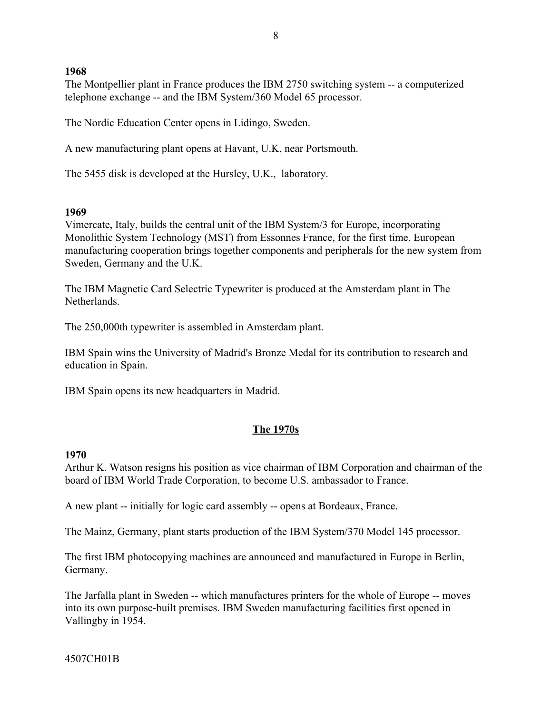The Montpellier plant in France produces the IBM 2750 switching system -- a computerized telephone exchange -- and the IBM System/360 Model 65 processor.

The Nordic Education Center opens in Lidingo, Sweden.

A new manufacturing plant opens at Havant, U.K, near Portsmouth.

The 5455 disk is developed at the Hursley, U.K., laboratory.

### **1969**

Vimercate, Italy, builds the central unit of the IBM System/3 for Europe, incorporating Monolithic System Technology (MST) from Essonnes France, for the first time. European manufacturing cooperation brings together components and peripherals for the new system from Sweden, Germany and the U.K.

The IBM Magnetic Card Selectric Typewriter is produced at the Amsterdam plant in The **Netherlands** 

The 250,000th typewriter is assembled in Amsterdam plant.

IBM Spain wins the University of Madrid's Bronze Medal for its contribution to research and education in Spain.

IBM Spain opens its new headquarters in Madrid.

### **The 1970s**

#### **1970**

Arthur K. Watson resigns his position as vice chairman of IBM Corporation and chairman of the board of IBM World Trade Corporation, to become U.S. ambassador to France.

A new plant -- initially for logic card assembly -- opens at Bordeaux, France.

The Mainz, Germany, plant starts production of the IBM System/370 Model 145 processor.

The first IBM photocopying machines are announced and manufactured in Europe in Berlin, Germany.

The Jarfalla plant in Sweden -- which manufactures printers for the whole of Europe -- moves into its own purpose-built premises. IBM Sweden manufacturing facilities first opened in Vallingby in 1954.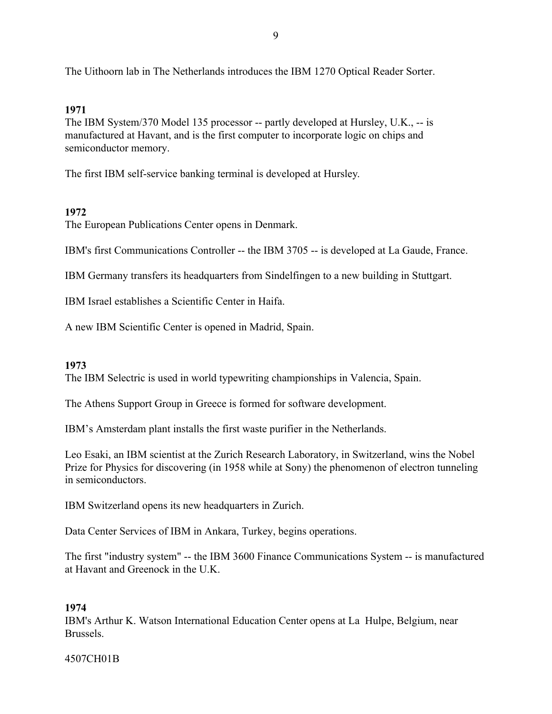The Uithoorn lab in The Netherlands introduces the IBM 1270 Optical Reader Sorter.

# **1971**

The IBM System/370 Model 135 processor -- partly developed at Hursley, U.K., -- is manufactured at Havant, and is the first computer to incorporate logic on chips and semiconductor memory.

The first IBM self-service banking terminal is developed at Hursley.

# **1972**

The European Publications Center opens in Denmark.

IBM's first Communications Controller -- the IBM 3705 -- is developed at La Gaude, France.

IBM Germany transfers its headquarters from Sindelfingen to a new building in Stuttgart.

IBM Israel establishes a Scientific Center in Haifa.

A new IBM Scientific Center is opened in Madrid, Spain.

## **1973**

The IBM Selectric is used in world typewriting championships in Valencia, Spain.

The Athens Support Group in Greece is formed for software development.

IBM's Amsterdam plant installs the first waste purifier in the Netherlands.

Leo Esaki, an IBM scientist at the Zurich Research Laboratory, in Switzerland, wins the Nobel Prize for Physics for discovering (in 1958 while at Sony) the phenomenon of electron tunneling in semiconductors.

IBM Switzerland opens its new headquarters in Zurich.

Data Center Services of IBM in Ankara, Turkey, begins operations.

The first "industry system" -- the IBM 3600 Finance Communications System -- is manufactured at Havant and Greenock in the U.K.

## **1974**

IBM's Arthur K. Watson International Education Center opens at La Hulpe, Belgium, near Brussels.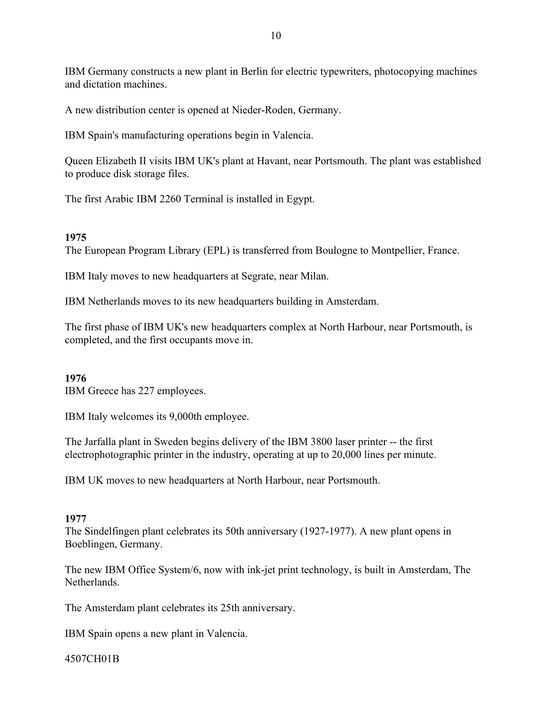IBM Germany constructs a new plant in Berlin for electric typewriters, photocopying machines and dictation machines.

A new distribution center is opened at Nieder-Roden, Germany.

IBM Spain's manufacturing operations begin in Valencia.

Queen Elizabeth II visits IBM UK's plant at Havant, near Portsmouth. The plant was established to produce disk storage files.

The first Arabic IBM 2260 Terminal is installed in Egypt.

### **1975**

The European Program Library (EPL) is transferred from Boulogne to Montpellier, France.

IBM Italy moves to new headquarters at Segrate, near Milan.

IBM Netherlands moves to its new headquarters building in Amsterdam.

The first phase of IBM UK's new headquarters complex at North Harbour, near Portsmouth, is completed, and the first occupants move in.

### **1976**

IBM Greece has 227 employees.

IBM Italy welcomes its 9,000th employee.

The Jarfalla plant in Sweden begins delivery of the IBM 3800 laser printer -- the first electrophotographic printer in the industry, operating at up to 20,000 lines per minute.

IBM UK moves to new headquarters at North Harbour, near Portsmouth.

### **1977**

The Sindelfingen plant celebrates its 50th anniversary (1927-1977). A new plant opens in Boeblingen, Germany.

The new IBM Office System/6, now with ink-jet print technology, is built in Amsterdam, The Netherlands.

The Amsterdam plant celebrates its 25th anniversary.

IBM Spain opens a new plant in Valencia.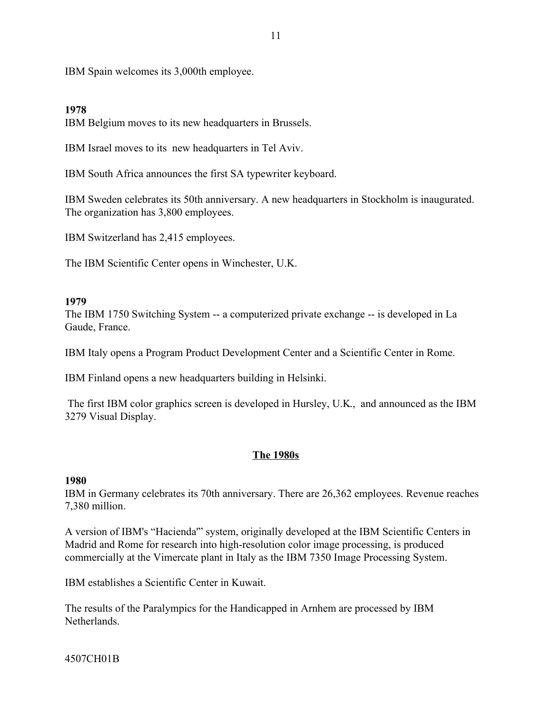IBM Spain welcomes its 3,000th employee.

### **1978**

IBM Belgium moves to its new headquarters in Brussels.

IBM Israel moves to its new headquarters in Tel Aviv.

IBM South Africa announces the first SA typewriter keyboard.

IBM Sweden celebrates its 50th anniversary. A new headquarters in Stockholm is inaugurated. The organization has 3,800 employees.

IBM Switzerland has 2,415 employees.

The IBM Scientific Center opens in Winchester, U.K.

### **1979**

The IBM 1750 Switching System -- a computerized private exchange -- is developed in La Gaude, France.

IBM Italy opens a Program Product Development Center and a Scientific Center in Rome.

IBM Finland opens a new headquarters building in Helsinki.

 The first IBM color graphics screen is developed in Hursley, U.K., and announced as the IBM 3279 Visual Display.

### **The 1980s**

### **1980**

IBM in Germany celebrates its 70th anniversary. There are 26,362 employees. Revenue reaches 7,380 million.

A version of IBM's "Hacienda" system, originally developed at the IBM Scientific Centers in Madrid and Rome for research into high-resolution color image processing, is produced commercially at the Vimercate plant in Italy as the IBM 7350 Image Processing System.

IBM establishes a Scientific Center in Kuwait.

The results of the Paralympics for the Handicapped in Arnhem are processed by IBM Netherlands.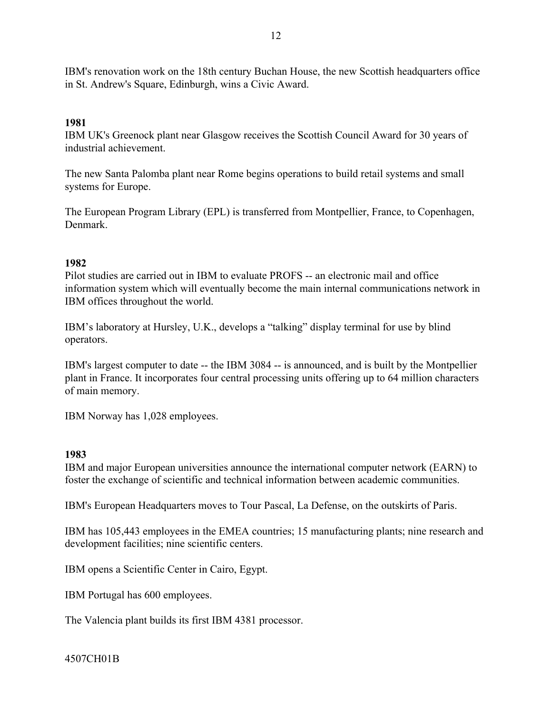IBM's renovation work on the 18th century Buchan House, the new Scottish headquarters office in St. Andrew's Square, Edinburgh, wins a Civic Award.

### **1981**

IBM UK's Greenock plant near Glasgow receives the Scottish Council Award for 30 years of industrial achievement.

The new Santa Palomba plant near Rome begins operations to build retail systems and small systems for Europe.

The European Program Library (EPL) is transferred from Montpellier, France, to Copenhagen, Denmark.

### **1982**

Pilot studies are carried out in IBM to evaluate PROFS -- an electronic mail and office information system which will eventually become the main internal communications network in IBM offices throughout the world.

IBM's laboratory at Hursley, U.K., develops a "talking" display terminal for use by blind operators.

IBM's largest computer to date -- the IBM 3084 -- is announced, and is built by the Montpellier plant in France. It incorporates four central processing units offering up to 64 million characters of main memory.

IBM Norway has 1,028 employees.

### **1983**

IBM and major European universities announce the international computer network (EARN) to foster the exchange of scientific and technical information between academic communities.

IBM's European Headquarters moves to Tour Pascal, La Defense, on the outskirts of Paris.

IBM has 105,443 employees in the EMEA countries; 15 manufacturing plants; nine research and development facilities; nine scientific centers.

IBM opens a Scientific Center in Cairo, Egypt.

IBM Portugal has 600 employees.

The Valencia plant builds its first IBM 4381 processor.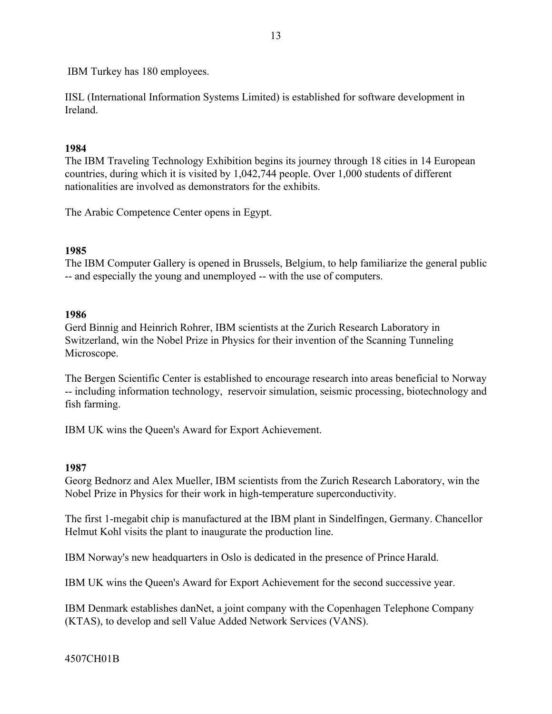IBM Turkey has 180 employees.

IISL (International Information Systems Limited) is established for software development in Ireland.

### **1984**

The IBM Traveling Technology Exhibition begins its journey through 18 cities in 14 European countries, during which it is visited by 1,042,744 people. Over 1,000 students of different nationalities are involved as demonstrators for the exhibits.

The Arabic Competence Center opens in Egypt.

### **1985**

The IBM Computer Gallery is opened in Brussels, Belgium, to help familiarize the general public -- and especially the young and unemployed -- with the use of computers.

#### **1986**

Gerd Binnig and Heinrich Rohrer, IBM scientists at the Zurich Research Laboratory in Switzerland, win the Nobel Prize in Physics for their invention of the Scanning Tunneling Microscope.

The Bergen Scientific Center is established to encourage research into areas beneficial to Norway -- including information technology, reservoir simulation, seismic processing, biotechnology and fish farming.

IBM UK wins the Queen's Award for Export Achievement.

#### **1987**

Georg Bednorz and Alex Mueller, IBM scientists from the Zurich Research Laboratory, win the Nobel Prize in Physics for their work in high-temperature superconductivity.

The first 1-megabit chip is manufactured at the IBM plant in Sindelfingen, Germany. Chancellor Helmut Kohl visits the plant to inaugurate the production line.

IBM Norway's new headquarters in Oslo is dedicated in the presence of Prince Harald.

IBM UK wins the Queen's Award for Export Achievement for the second successive year.

IBM Denmark establishes danNet, a joint company with the Copenhagen Telephone Company (KTAS), to develop and sell Value Added Network Services (VANS).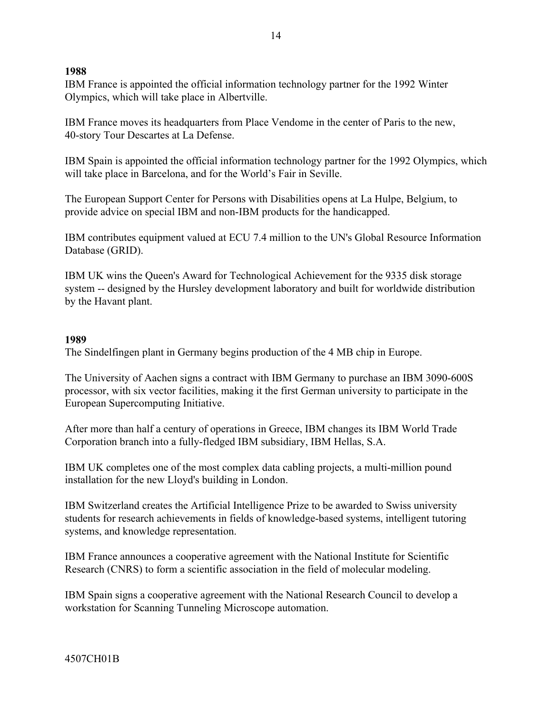IBM France is appointed the official information technology partner for the 1992 Winter Olympics, which will take place in Albertville.

IBM France moves its headquarters from Place Vendome in the center of Paris to the new, 40-story Tour Descartes at La Defense.

IBM Spain is appointed the official information technology partner for the 1992 Olympics, which will take place in Barcelona, and for the World's Fair in Seville.

The European Support Center for Persons with Disabilities opens at La Hulpe, Belgium, to provide advice on special IBM and non-IBM products for the handicapped.

IBM contributes equipment valued at ECU 7.4 million to the UN's Global Resource Information Database (GRID).

IBM UK wins the Queen's Award for Technological Achievement for the 9335 disk storage system -- designed by the Hursley development laboratory and built for worldwide distribution by the Havant plant.

### **1989**

The Sindelfingen plant in Germany begins production of the 4 MB chip in Europe.

The University of Aachen signs a contract with IBM Germany to purchase an IBM 3090-600S processor, with six vector facilities, making it the first German university to participate in the European Supercomputing Initiative.

After more than half a century of operations in Greece, IBM changes its IBM World Trade Corporation branch into a fully-fledged IBM subsidiary, IBM Hellas, S.A.

IBM UK completes one of the most complex data cabling projects, a multi-million pound installation for the new Lloyd's building in London.

IBM Switzerland creates the Artificial Intelligence Prize to be awarded to Swiss university students for research achievements in fields of knowledge-based systems, intelligent tutoring systems, and knowledge representation.

IBM France announces a cooperative agreement with the National Institute for Scientific Research (CNRS) to form a scientific association in the field of molecular modeling.

IBM Spain signs a cooperative agreement with the National Research Council to develop a workstation for Scanning Tunneling Microscope automation.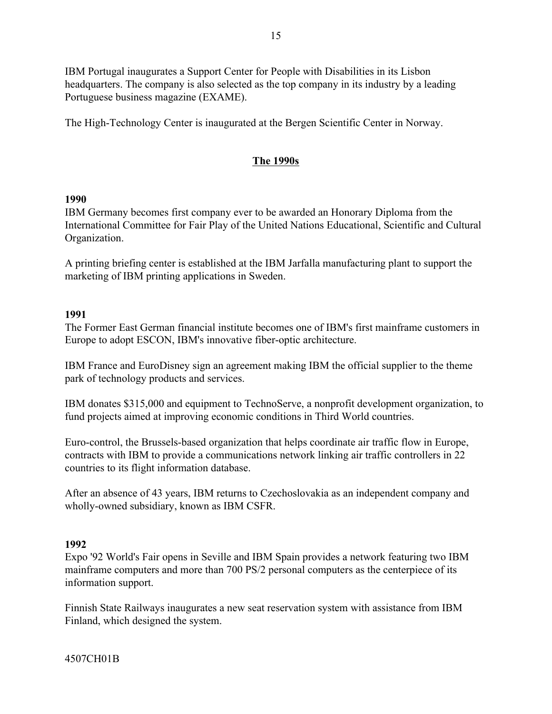IBM Portugal inaugurates a Support Center for People with Disabilities in its Lisbon headquarters. The company is also selected as the top company in its industry by a leading Portuguese business magazine (EXAME).

The High-Technology Center is inaugurated at the Bergen Scientific Center in Norway.

# **The 1990s**

### **1990**

IBM Germany becomes first company ever to be awarded an Honorary Diploma from the International Committee for Fair Play of the United Nations Educational, Scientific and Cultural Organization.

A printing briefing center is established at the IBM Jarfalla manufacturing plant to support the marketing of IBM printing applications in Sweden.

### **1991**

The Former East German financial institute becomes one of IBM's first mainframe customers in Europe to adopt ESCON, IBM's innovative fiber-optic architecture.

IBM France and EuroDisney sign an agreement making IBM the official supplier to the theme park of technology products and services.

IBM donates \$315,000 and equipment to TechnoServe, a nonprofit development organization, to fund projects aimed at improving economic conditions in Third World countries.

Euro-control, the Brussels-based organization that helps coordinate air traffic flow in Europe, contracts with IBM to provide a communications network linking air traffic controllers in 22 countries to its flight information database.

After an absence of 43 years, IBM returns to Czechoslovakia as an independent company and wholly-owned subsidiary, known as IBM CSFR.

## **1992**

Expo '92 World's Fair opens in Seville and IBM Spain provides a network featuring two IBM mainframe computers and more than 700 PS/2 personal computers as the centerpiece of its information support.

Finnish State Railways inaugurates a new seat reservation system with assistance from IBM Finland, which designed the system.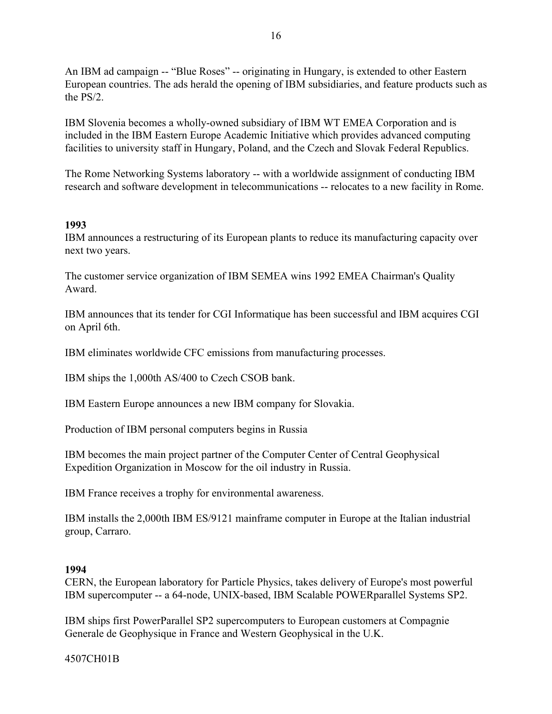An IBM ad campaign -- "Blue Roses" -- originating in Hungary, is extended to other Eastern European countries. The ads herald the opening of IBM subsidiaries, and feature products such as the PS/2.

IBM Slovenia becomes a wholly-owned subsidiary of IBM WT EMEA Corporation and is included in the IBM Eastern Europe Academic Initiative which provides advanced computing facilities to university staff in Hungary, Poland, and the Czech and Slovak Federal Republics.

The Rome Networking Systems laboratory -- with a worldwide assignment of conducting IBM research and software development in telecommunications -- relocates to a new facility in Rome.

### **1993**

IBM announces a restructuring of its European plants to reduce its manufacturing capacity over next two years.

The customer service organization of IBM SEMEA wins 1992 EMEA Chairman's Quality Award.

IBM announces that its tender for CGI Informatique has been successful and IBM acquires CGI on April 6th.

IBM eliminates worldwide CFC emissions from manufacturing processes.

IBM ships the 1,000th AS/400 to Czech CSOB bank.

IBM Eastern Europe announces a new IBM company for Slovakia.

Production of IBM personal computers begins in Russia

IBM becomes the main project partner of the Computer Center of Central Geophysical Expedition Organization in Moscow for the oil industry in Russia.

IBM France receives a trophy for environmental awareness.

IBM installs the 2,000th IBM ES/9121 mainframe computer in Europe at the Italian industrial group, Carraro.

### **1994**

CERN, the European laboratory for Particle Physics, takes delivery of Europe's most powerful IBM supercomputer -- a 64-node, UNIX-based, IBM Scalable POWERparallel Systems SP2.

IBM ships first PowerParallel SP2 supercomputers to European customers at Compagnie Generale de Geophysique in France and Western Geophysical in the U.K.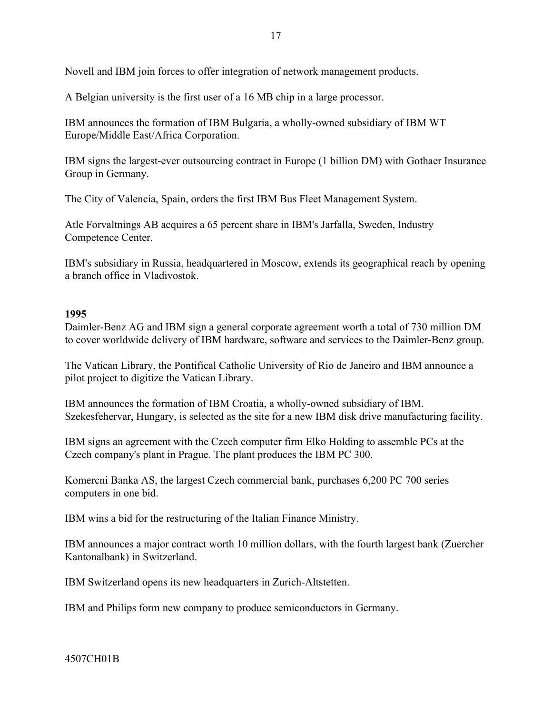Novell and IBM join forces to offer integration of network management products.

A Belgian university is the first user of a 16 MB chip in a large processor.

IBM announces the formation of IBM Bulgaria, a wholly-owned subsidiary of IBM WT Europe/Middle East/Africa Corporation.

IBM signs the largest-ever outsourcing contract in Europe (1 billion DM) with Gothaer Insurance Group in Germany.

The City of Valencia, Spain, orders the first IBM Bus Fleet Management System.

Atle Forvaltnings AB acquires a 65 percent share in IBM's Jarfalla, Sweden, Industry Competence Center.

IBM's subsidiary in Russia, headquartered in Moscow, extends its geographical reach by opening a branch office in Vladivostok.

#### **1995**

Daimler-Benz AG and IBM sign a general corporate agreement worth a total of 730 million DM to cover worldwide delivery of IBM hardware, software and services to the Daimler-Benz group.

The Vatican Library, the Pontifical Catholic University of Rio de Janeiro and IBM announce a pilot project to digitize the Vatican Library.

IBM announces the formation of IBM Croatia, a wholly-owned subsidiary of IBM. Szekesfehervar, Hungary, is selected as the site for a new IBM disk drive manufacturing facility.

IBM signs an agreement with the Czech computer firm Elko Holding to assemble PCs at the Czech company's plant in Prague. The plant produces the IBM PC 300.

Komercni Banka AS, the largest Czech commercial bank, purchases 6,200 PC 700 series computers in one bid.

IBM wins a bid for the restructuring of the Italian Finance Ministry.

IBM announces a major contract worth 10 million dollars, with the fourth largest bank (Zuercher Kantonalbank) in Switzerland.

IBM Switzerland opens its new headquarters in Zurich-Altstetten.

IBM and Philips form new company to produce semiconductors in Germany.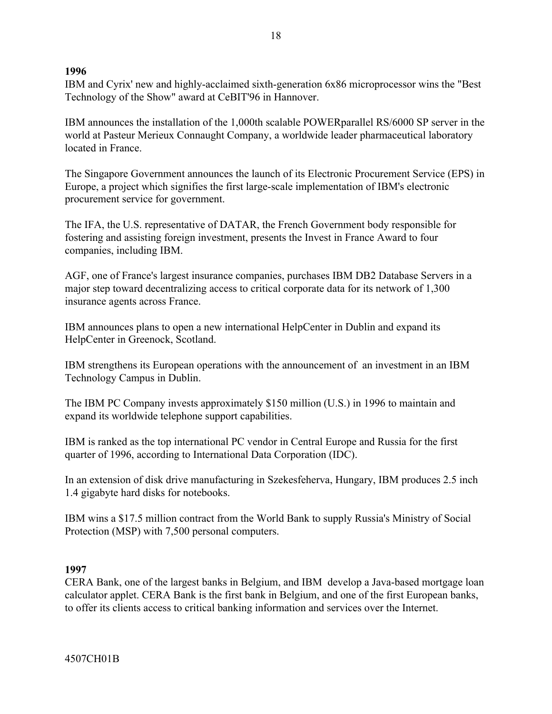IBM and Cyrix' new and highly-acclaimed sixth-generation 6x86 microprocessor wins the "Best Technology of the Show" award at CeBIT'96 in Hannover.

IBM announces the installation of the 1,000th scalable POWERparallel RS/6000 SP server in the world at Pasteur Merieux Connaught Company, a worldwide leader pharmaceutical laboratory located in France.

The Singapore Government announces the launch of its Electronic Procurement Service (EPS) in Europe, a project which signifies the first large-scale implementation of IBM's electronic procurement service for government.

The IFA, the U.S. representative of DATAR, the French Government body responsible for fostering and assisting foreign investment, presents the Invest in France Award to four companies, including IBM.

AGF, one of France's largest insurance companies, purchases IBM DB2 Database Servers in a major step toward decentralizing access to critical corporate data for its network of 1,300 insurance agents across France.

IBM announces plans to open a new international HelpCenter in Dublin and expand its HelpCenter in Greenock, Scotland.

IBM strengthens its European operations with the announcement of an investment in an IBM Technology Campus in Dublin.

The IBM PC Company invests approximately \$150 million (U.S.) in 1996 to maintain and expand its worldwide telephone support capabilities.

IBM is ranked as the top international PC vendor in Central Europe and Russia for the first quarter of 1996, according to International Data Corporation (IDC).

In an extension of disk drive manufacturing in Szekesfeherva, Hungary, IBM produces 2.5 inch 1.4 gigabyte hard disks for notebooks.

IBM wins a \$17.5 million contract from the World Bank to supply Russia's Ministry of Social Protection (MSP) with 7,500 personal computers.

## **1997**

CERA Bank, one of the largest banks in Belgium, and IBM develop a Java-based mortgage loan calculator applet. CERA Bank is the first bank in Belgium, and one of the first European banks, to offer its clients access to critical banking information and services over the Internet.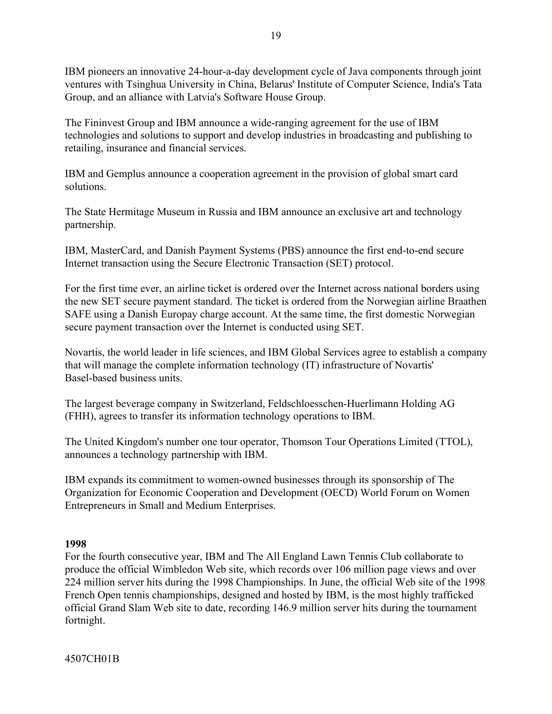IBM pioneers an innovative 24-hour-a-day development cycle of Java components through joint ventures with Tsinghua University in China, Belarus' Institute of Computer Science, India's Tata Group, and an alliance with Latvia's Software House Group.

The Fininvest Group and IBM announce a wide-ranging agreement for the use of IBM technologies and solutions to support and develop industries in broadcasting and publishing to retailing, insurance and financial services.

IBM and Gemplus announce a cooperation agreement in the provision of global smart card solutions.

The State Hermitage Museum in Russia and IBM announce an exclusive art and technology partnership.

IBM, MasterCard, and Danish Payment Systems (PBS) announce the first end-to-end secure Internet transaction using the Secure Electronic Transaction (SET) protocol.

For the first time ever, an airline ticket is ordered over the Internet across national borders using the new SET secure payment standard. The ticket is ordered from the Norwegian airline Braathen SAFE using a Danish Europay charge account. At the same time, the first domestic Norwegian secure payment transaction over the Internet is conducted using SET.

Novartis, the world leader in life sciences, and IBM Global Services agree to establish a company that will manage the complete information technology (IT) infrastructure of Novartis' Basel-based business units.

The largest beverage company in Switzerland, Feldschloesschen-Huerlimann Holding AG (FHH), agrees to transfer its information technology operations to IBM.

The United Kingdom's number one tour operator, Thomson Tour Operations Limited (TTOL), announces a technology partnership with IBM.

IBM expands its commitment to women-owned businesses through its sponsorship of The Organization for Economic Cooperation and Development (OECD) World Forum on Women Entrepreneurs in Small and Medium Enterprises.

## **1998**

For the fourth consecutive year, IBM and The All England Lawn Tennis Club collaborate to produce the official Wimbledon Web site, which records over 106 million page views and over 224 million server hits during the 1998 Championships. In June, the official Web site of the 1998 French Open tennis championships, designed and hosted by IBM, is the most highly trafficked official Grand Slam Web site to date, recording 146.9 million server hits during the tournament fortnight.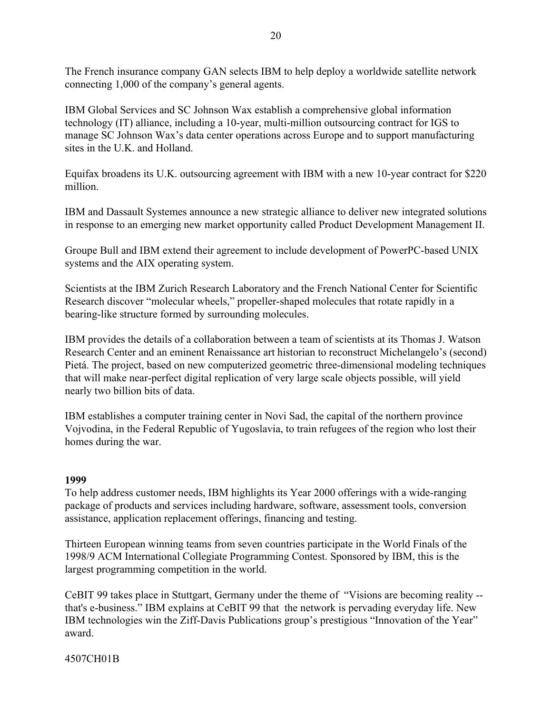The French insurance company GAN selects IBM to help deploy a worldwide satellite network connecting 1,000 of the company's general agents.

IBM Global Services and SC Johnson Wax establish a comprehensive global information technology (IT) alliance, including a 10-year, multi-million outsourcing contract for IGS to manage SC Johnson Wax's data center operations across Europe and to support manufacturing sites in the U.K. and Holland.

Equifax broadens its U.K. outsourcing agreement with IBM with a new 10-year contract for \$220 million.

IBM and Dassault Systemes announce a new strategic alliance to deliver new integrated solutions in response to an emerging new market opportunity called Product Development Management II.

Groupe Bull and IBM extend their agreement to include development of PowerPC-based UNIX systems and the AIX operating system.

Scientists at the IBM Zurich Research Laboratory and the French National Center for Scientific Research discover "molecular wheels," propeller-shaped molecules that rotate rapidly in a bearing-like structure formed by surrounding molecules.

IBM provides the details of a collaboration between a team of scientists at its Thomas J. Watson Research Center and an eminent Renaissance art historian to reconstruct Michelangelo's (second) Pietá. The project, based on new computerized geometric three-dimensional modeling techniques that will make near-perfect digital replication of very large scale objects possible, will yield nearly two billion bits of data.

IBM establishes a computer training center in Novi Sad, the capital of the northern province Vojvodina, in the Federal Republic of Yugoslavia, to train refugees of the region who lost their homes during the war.

### **1999**

To help address customer needs, IBM highlights its Year 2000 offerings with a wide-ranging package of products and services including hardware, software, assessment tools, conversion assistance, application replacement offerings, financing and testing.

Thirteen European winning teams from seven countries participate in the World Finals of the 1998/9 ACM International Collegiate Programming Contest. Sponsored by IBM, this is the largest programming competition in the world.

CeBIT 99 takes place in Stuttgart, Germany under the theme of "Visions are becoming reality -that's e-business." IBM explains at CeBIT 99 that the network is pervading everyday life. New IBM technologies win the Ziff-Davis Publications group's prestigious "Innovation of the Year" award.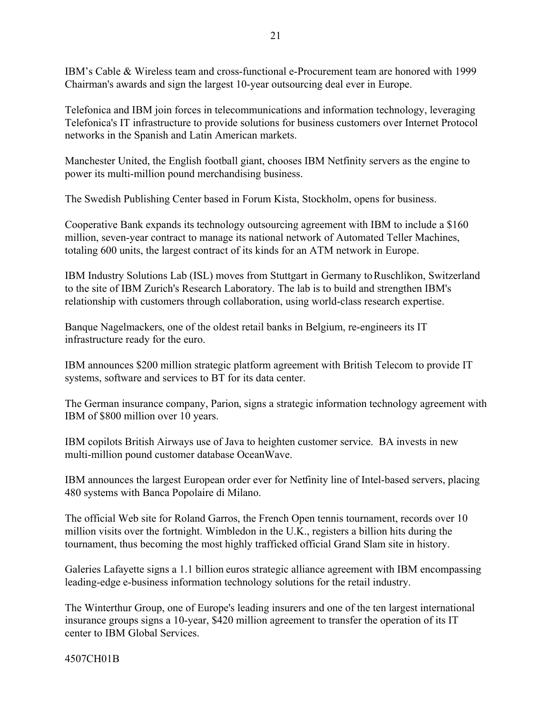IBMís Cable & Wireless team and cross-functional e-Procurement team are honored with 1999 Chairman's awards and sign the largest 10-year outsourcing deal ever in Europe.

Telefonica and IBM join forces in telecommunications and information technology, leveraging Telefonica's IT infrastructure to provide solutions for business customers over Internet Protocol networks in the Spanish and Latin American markets.

Manchester United, the English football giant, chooses IBM Netfinity servers as the engine to power its multi-million pound merchandising business.

The Swedish Publishing Center based in Forum Kista, Stockholm, opens for business.

Cooperative Bank expands its technology outsourcing agreement with IBM to include a \$160 million, seven-year contract to manage its national network of Automated Teller Machines, totaling 600 units, the largest contract of its kinds for an ATM network in Europe.

IBM Industry Solutions Lab (ISL) moves from Stuttgart in Germany to Ruschlikon, Switzerland to the site of IBM Zurich's Research Laboratory. The lab is to build and strengthen IBM's relationship with customers through collaboration, using world-class research expertise.

Banque Nagelmackers, one of the oldest retail banks in Belgium, re-engineers its IT infrastructure ready for the euro.

IBM announces \$200 million strategic platform agreement with British Telecom to provide IT systems, software and services to BT for its data center.

The German insurance company, Parion, signs a strategic information technology agreement with IBM of \$800 million over 10 years.

IBM copilots British Airways use of Java to heighten customer service. BA invests in new multi-million pound customer database OceanWave.

IBM announces the largest European order ever for Netfinity line of Intel-based servers, placing 480 systems with Banca Popolaire di Milano.

The official Web site for Roland Garros, the French Open tennis tournament, records over 10 million visits over the fortnight. Wimbledon in the U.K., registers a billion hits during the tournament, thus becoming the most highly trafficked official Grand Slam site in history.

Galeries Lafayette signs a 1.1 billion euros strategic alliance agreement with IBM encompassing leading-edge e-business information technology solutions for the retail industry.

The Winterthur Group, one of Europe's leading insurers and one of the ten largest international insurance groups signs a 10-year, \$420 million agreement to transfer the operation of its IT center to IBM Global Services.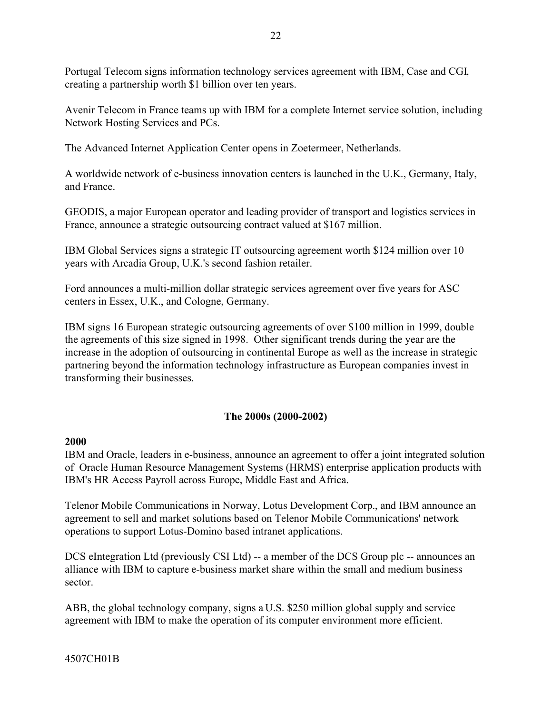Portugal Telecom signs information technology services agreement with IBM, Case and CGI, creating a partnership worth \$1 billion over ten years.

Avenir Telecom in France teams up with IBM for a complete Internet service solution, including Network Hosting Services and PCs.

The Advanced Internet Application Center opens in Zoetermeer, Netherlands.

A worldwide network of e-business innovation centers is launched in the U.K., Germany, Italy, and France.

GEODIS, a major European operator and leading provider of transport and logistics services in France, announce a strategic outsourcing contract valued at \$167 million.

IBM Global Services signs a strategic IT outsourcing agreement worth \$124 million over 10 years with Arcadia Group, U.K.'s second fashion retailer.

Ford announces a multi-million dollar strategic services agreement over five years for ASC centers in Essex, U.K., and Cologne, Germany.

IBM signs 16 European strategic outsourcing agreements of over \$100 million in 1999, double the agreements of this size signed in 1998. Other significant trends during the year are the increase in the adoption of outsourcing in continental Europe as well as the increase in strategic partnering beyond the information technology infrastructure as European companies invest in transforming their businesses.

# **The 2000s (2000-2002)**

### **2000**

IBM and Oracle, leaders in e-business, announce an agreement to offer a joint integrated solution of Oracle Human Resource Management Systems (HRMS) enterprise application products with IBM's HR Access Payroll across Europe, Middle East and Africa.

Telenor Mobile Communications in Norway, Lotus Development Corp., and IBM announce an agreement to sell and market solutions based on Telenor Mobile Communications' network operations to support Lotus-Domino based intranet applications.

DCS eIntegration Ltd (previously CSI Ltd) -- a member of the DCS Group plc -- announces an alliance with IBM to capture e-business market share within the small and medium business sector.

ABB, the global technology company, signs a U.S. \$250 million global supply and service agreement with IBM to make the operation of its computer environment more efficient.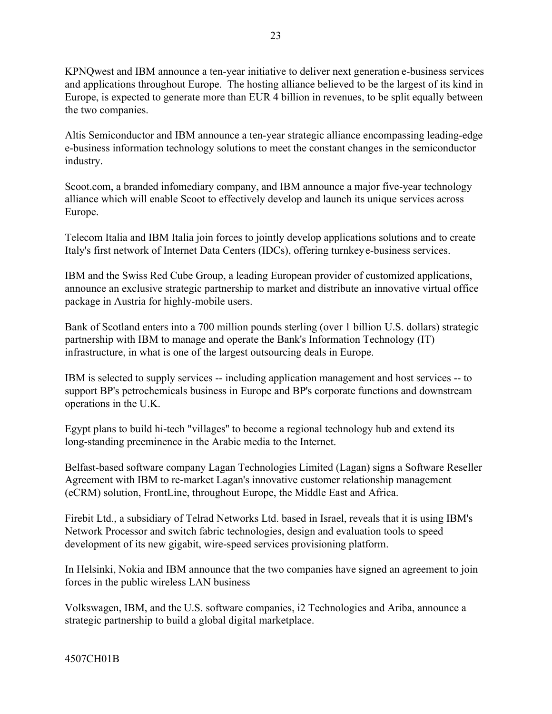KPNQwest and IBM announce a ten-year initiative to deliver next generation e-business services and applications throughout Europe. The hosting alliance believed to be the largest of its kind in Europe, is expected to generate more than EUR 4 billion in revenues, to be split equally between the two companies.

Altis Semiconductor and IBM announce a ten-year strategic alliance encompassing leading-edge e-business information technology solutions to meet the constant changes in the semiconductor industry.

Scoot.com, a branded infomediary company, and IBM announce a major five-year technology alliance which will enable Scoot to effectively develop and launch its unique services across Europe.

Telecom Italia and IBM Italia join forces to jointly develop applications solutions and to create Italy's first network of Internet Data Centers (IDCs), offering turnkey e-business services.

IBM and the Swiss Red Cube Group, a leading European provider of customized applications, announce an exclusive strategic partnership to market and distribute an innovative virtual office package in Austria for highly-mobile users.

Bank of Scotland enters into a 700 million pounds sterling (over 1 billion U.S. dollars) strategic partnership with IBM to manage and operate the Bank's Information Technology (IT) infrastructure, in what is one of the largest outsourcing deals in Europe.

IBM is selected to supply services -- including application management and host services -- to support BP's petrochemicals business in Europe and BP's corporate functions and downstream operations in the U.K.

Egypt plans to build hi-tech "villages'' to become a regional technology hub and extend its long-standing preeminence in the Arabic media to the Internet.

Belfast-based software company Lagan Technologies Limited (Lagan) signs a Software Reseller Agreement with IBM to re-market Lagan's innovative customer relationship management (eCRM) solution, FrontLine, throughout Europe, the Middle East and Africa.

Firebit Ltd., a subsidiary of Telrad Networks Ltd. based in Israel, reveals that it is using IBM's Network Processor and switch fabric technologies, design and evaluation tools to speed development of its new gigabit, wire-speed services provisioning platform.

In Helsinki, Nokia and IBM announce that the two companies have signed an agreement to join forces in the public wireless LAN business

Volkswagen, IBM, and the U.S. software companies, i2 Technologies and Ariba, announce a strategic partnership to build a global digital marketplace.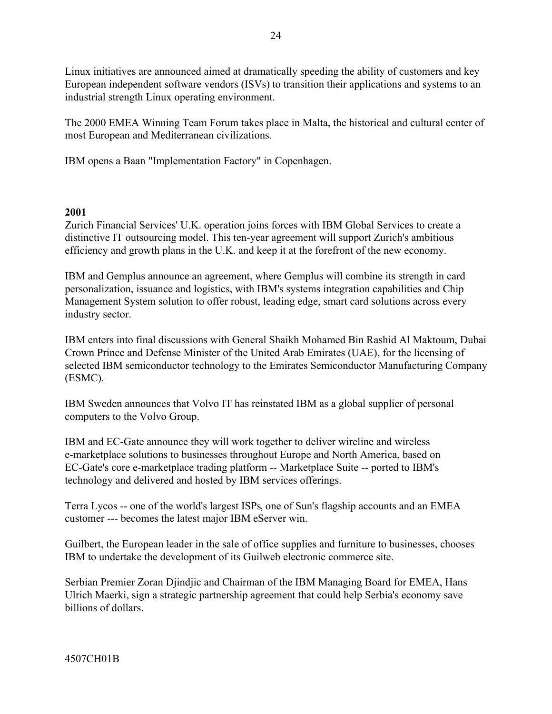Linux initiatives are announced aimed at dramatically speeding the ability of customers and key European independent software vendors (ISVs) to transition their applications and systems to an industrial strength Linux operating environment.

The 2000 EMEA Winning Team Forum takes place in Malta, the historical and cultural center of most European and Mediterranean civilizations.

IBM opens a Baan "Implementation Factory" in Copenhagen.

### **2001**

Zurich Financial Services' U.K. operation joins forces with IBM Global Services to create a distinctive IT outsourcing model. This ten-year agreement will support Zurich's ambitious efficiency and growth plans in the U.K. and keep it at the forefront of the new economy.

IBM and Gemplus announce an agreement, where Gemplus will combine its strength in card personalization, issuance and logistics, with IBM's systems integration capabilities and Chip Management System solution to offer robust, leading edge, smart card solutions across every industry sector.

IBM enters into final discussions with General Shaikh Mohamed Bin Rashid Al Maktoum, Dubai Crown Prince and Defense Minister of the United Arab Emirates (UAE), for the licensing of selected IBM semiconductor technology to the Emirates Semiconductor Manufacturing Company (ESMC).

IBM Sweden announces that Volvo IT has reinstated IBM as a global supplier of personal computers to the Volvo Group.

IBM and EC-Gate announce they will work together to deliver wireline and wireless e-marketplace solutions to businesses throughout Europe and North America, based on EC-Gate's core e-marketplace trading platform -- Marketplace Suite -- ported to IBM's technology and delivered and hosted by IBM services offerings.

Terra Lycos -- one of the world's largest ISPs, one of Sun's flagship accounts and an EMEA customer --- becomes the latest major IBM eServer win.

Guilbert, the European leader in the sale of office supplies and furniture to businesses, chooses IBM to undertake the development of its Guilweb electronic commerce site.

Serbian Premier Zoran Djindjic and Chairman of the IBM Managing Board for EMEA, Hans Ulrich Maerki, sign a strategic partnership agreement that could help Serbia's economy save billions of dollars.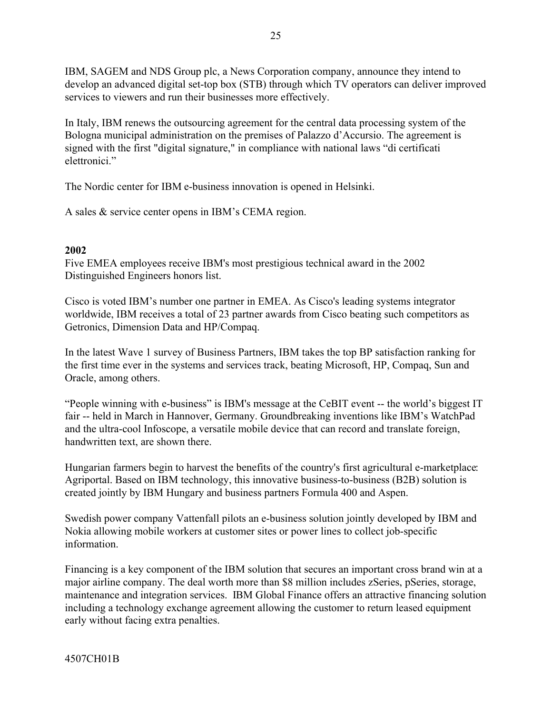IBM, SAGEM and NDS Group plc, a News Corporation company, announce they intend to develop an advanced digital set-top box (STB) through which TV operators can deliver improved services to viewers and run their businesses more effectively.

In Italy, IBM renews the outsourcing agreement for the central data processing system of the Bologna municipal administration on the premises of Palazzo d'Accursio. The agreement is signed with the first "digital signature," in compliance with national laws "di certificati elettronici<sup>"</sup>

The Nordic center for IBM e-business innovation is opened in Helsinki.

A sales  $&$  service center opens in IBM's CEMA region.

### **2002**

Five EMEA employees receive IBM's most prestigious technical award in the 2002 Distinguished Engineers honors list.

Cisco is voted IBM's number one partner in EMEA. As Cisco's leading systems integrator worldwide, IBM receives a total of 23 partner awards from Cisco beating such competitors as Getronics, Dimension Data and HP/Compaq.

In the latest Wave 1 survey of Business Partners, IBM takes the top BP satisfaction ranking for the first time ever in the systems and services track, beating Microsoft, HP, Compaq, Sun and Oracle, among others.

 $\degree$ People winning with e-business" is IBM's message at the CeBIT event -- the world's biggest IT fair -- held in March in Hannover, Germany. Groundbreaking inventions like IBM's WatchPad and the ultra-cool Infoscope, a versatile mobile device that can record and translate foreign, handwritten text, are shown there.

Hungarian farmers begin to harvest the benefits of the country's first agricultural e-marketplace: Agriportal. Based on IBM technology, this innovative business-to-business (B2B) solution is created jointly by IBM Hungary and business partners Formula 400 and Aspen.

Swedish power company Vattenfall pilots an e-business solution jointly developed by IBM and Nokia allowing mobile workers at customer sites or power lines to collect job-specific information.

Financing is a key component of the IBM solution that secures an important cross brand win at a major airline company. The deal worth more than \$8 million includes zSeries, pSeries, storage, maintenance and integration services. IBM Global Finance offers an attractive financing solution including a technology exchange agreement allowing the customer to return leased equipment early without facing extra penalties.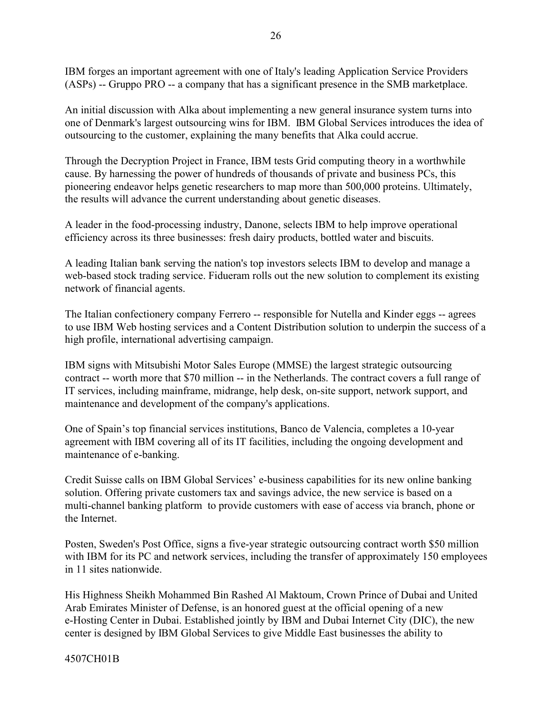IBM forges an important agreement with one of Italy's leading Application Service Providers (ASPs) -- Gruppo PRO -- a company that has a significant presence in the SMB marketplace.

An initial discussion with Alka about implementing a new general insurance system turns into one of Denmark's largest outsourcing wins for IBM. IBM Global Services introduces the idea of outsourcing to the customer, explaining the many benefits that Alka could accrue.

Through the Decryption Project in France, IBM tests Grid computing theory in a worthwhile cause. By harnessing the power of hundreds of thousands of private and business PCs, this pioneering endeavor helps genetic researchers to map more than 500,000 proteins. Ultimately, the results will advance the current understanding about genetic diseases.

A leader in the food-processing industry, Danone, selects IBM to help improve operational efficiency across its three businesses: fresh dairy products, bottled water and biscuits.

A leading Italian bank serving the nation's top investors selects IBM to develop and manage a web-based stock trading service. Fidueram rolls out the new solution to complement its existing network of financial agents.

The Italian confectionery company Ferrero -- responsible for Nutella and Kinder eggs -- agrees to use IBM Web hosting services and a Content Distribution solution to underpin the success of a high profile, international advertising campaign.

IBM signs with Mitsubishi Motor Sales Europe (MMSE) the largest strategic outsourcing contract -- worth more that \$70 million -- in the Netherlands. The contract covers a full range of IT services, including mainframe, midrange, help desk, on-site support, network support, and maintenance and development of the company's applications.

One of Spain's top financial services institutions, Banco de Valencia, completes a 10-year agreement with IBM covering all of its IT facilities, including the ongoing development and maintenance of e-banking.

Credit Suisse calls on IBM Global Services' e-business capabilities for its new online banking solution. Offering private customers tax and savings advice, the new service is based on a multi-channel banking platform to provide customers with ease of access via branch, phone or the Internet.

Posten, Sweden's Post Office, signs a five-year strategic outsourcing contract worth \$50 million with IBM for its PC and network services, including the transfer of approximately 150 employees in 11 sites nationwide.

His Highness Sheikh Mohammed Bin Rashed Al Maktoum, Crown Prince of Dubai and United Arab Emirates Minister of Defense, is an honored guest at the official opening of a new e-Hosting Center in Dubai. Established jointly by IBM and Dubai Internet City (DIC), the new center is designed by IBM Global Services to give Middle East businesses the ability to